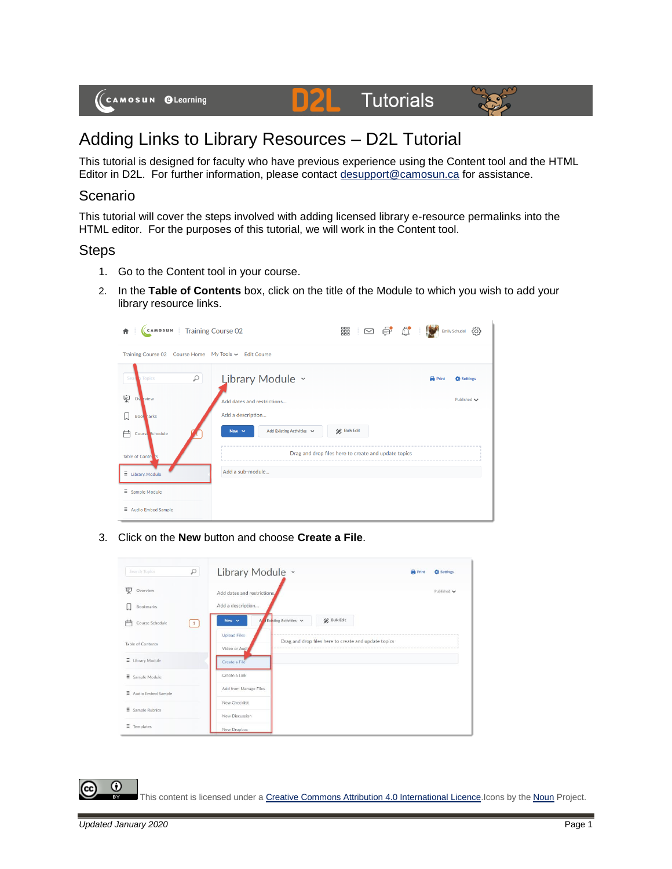

## **Tutorials** DZI



# Adding Links to Library Resources – D2L Tutorial

This tutorial is designed for faculty who have previous experience using the Content tool and the HTML Editor in D2L. For further information, please contact [desupport@camosun.ca](mailto:desupport@camosun.ca) for assistance.

#### Scenario

This tutorial will cover the steps involved with adding licensed library e-resource permalinks into the HTML editor. For the purposes of this tutorial, we will work in the Content tool.

#### **Steps**

- 1. Go to the Content tool in your course.
- 2. In the **Table of Contents** box, click on the title of the Module to which you wish to add your library resource links.

| Training Course 02<br>CAMOSUN<br>査                    | ■ □ ● ☆ ■<br>සූ<br><b>Emily Schudel</b>                     |                                   |  |  |  |
|-------------------------------------------------------|-------------------------------------------------------------|-----------------------------------|--|--|--|
| Training Course 02 Course Home My Tools v Edit Course |                                                             |                                   |  |  |  |
| R<br>Seal<br><b>Topics</b>                            | Library Module ~                                            | <b>Print</b><br><b>C</b> Settings |  |  |  |
| 稟<br>Ov view                                          | Add dates and restrictions                                  | Published $\smile$                |  |  |  |
| П<br><b>Book</b> narks                                | Add a description                                           |                                   |  |  |  |
| 户<br>Course Schedule                                  | <b>Bulk Edit</b><br>Add Existing Activities v<br>New $\sim$ |                                   |  |  |  |
| Table of Conter <sub>s</sub>                          | Drag and drop files here to create and update topics        |                                   |  |  |  |
| $\equiv$ Library Module                               | Add a sub-module                                            |                                   |  |  |  |
| $\equiv$ Sample Module                                |                                                             |                                   |  |  |  |
| $\Xi$ Audio Embed Sample                              |                                                             |                                   |  |  |  |

3. Click on the **New** button and choose **Create a File**.



 $\odot$ This content is licensed under [a Creative Commons Attribution 4.0 International Licence.I](https://creativecommons.org/licenses/by/4.0/)cons by the [Noun](https://creativecommons.org/website-icons/) Project.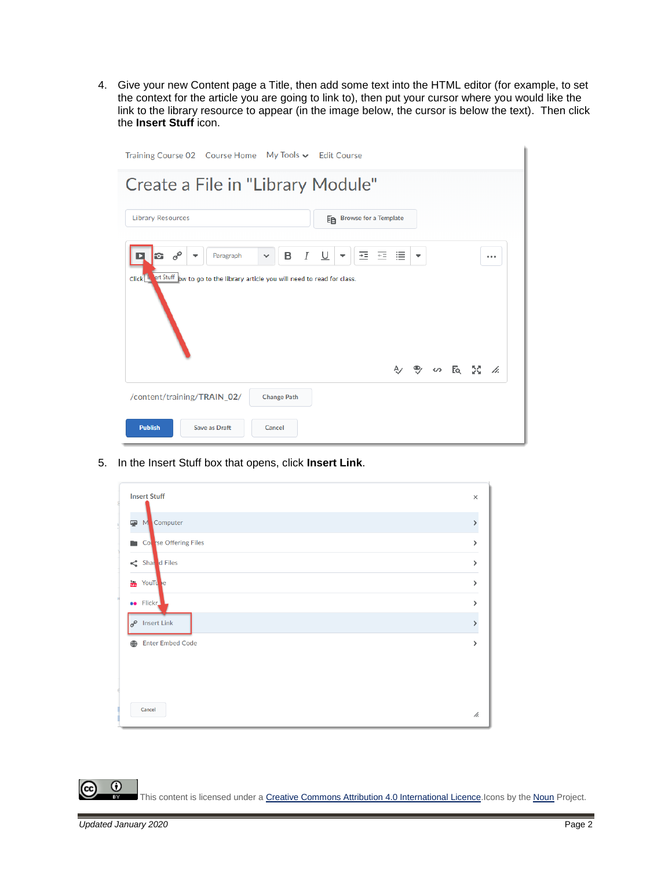4. Give your new Content page a Title, then add some text into the HTML editor (for example, to set the context for the article you are going to link to), then put your cursor where you would like the link to the library resource to appear (in the image below, the cursor is below the text). Then click the **Insert Stuff** icon.

| Training Course 02 Course Home My Tools v Edit Course                                                                                                                                           |  |  |                 |  |
|-------------------------------------------------------------------------------------------------------------------------------------------------------------------------------------------------|--|--|-----------------|--|
| Create a File in "Library Module"                                                                                                                                                               |  |  |                 |  |
| <b>Library Resources</b><br>Ep Browse for a Template                                                                                                                                            |  |  |                 |  |
| $\sigma^{\!\mathcal{O}}$<br>$\cal I$<br>$\underline{\cup}$<br>医三目<br>в<br>Paragraph<br>÷.<br>$\checkmark$<br>Click II et Stuff ow to go to the library article you will need to read for class. |  |  |                 |  |
|                                                                                                                                                                                                 |  |  | A) → co Eq IC A |  |
| /content/training/TRAIN_02/<br><b>Change Path</b>                                                                                                                                               |  |  |                 |  |
| <b>Publish</b><br>Save as Draft<br>Cancel                                                                                                                                                       |  |  |                 |  |

5. In the Insert Stuff box that opens, click **Insert Link**.

|                   | <b>Insert Stuff</b>      | $\times$ |
|-------------------|--------------------------|----------|
| 學                 | M Computer               |          |
| m.                | College Offering Files   | ⋗        |
|                   | Shar d Files             | ⋗        |
| $\frac{1}{10000}$ | YouTu e                  | >        |
|                   | <b>ee</b> Flickr         | >        |
|                   | $e^{\theta}$ Insert Link |          |
| ⊕                 | <b>Enter Embed Code</b>  |          |
|                   |                          |          |
|                   |                          |          |
|                   | Cancel                   | h.       |

 $\odot$ (cc This content is licensed under [a Creative Commons Attribution 4.0 International Licence.I](https://creativecommons.org/licenses/by/4.0/)cons by the [Noun](https://creativecommons.org/website-icons/) Project.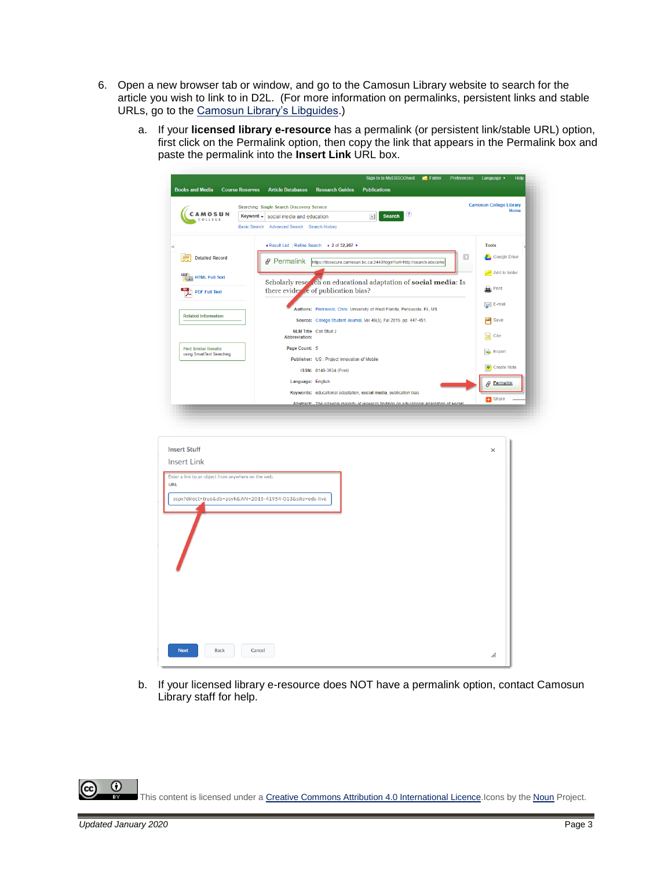- 6. Open a new browser tab or window, and go to the Camosun Library website to search for the article you wish to link to in D2L. (For more information on permalinks, persistent links and stable URLs, go to the [Camosun Library's Libguides.](http://camosun.ca.libguides.com/c.php?g=92275&p=1238057))
	- a. If your **licensed library e-resource** has a permalink (or persistent link/stable URL) option, first click on the Permalink option, then copy the link that appears in the Permalink box and paste the permalink into the **Insert Link** URL box.

|                                                                                                                                                                            |                        |                                             |                                               | Sign In to MyEBSCOhost                                                                   | Folder | Preferences | Language v                     | Help |
|----------------------------------------------------------------------------------------------------------------------------------------------------------------------------|------------------------|---------------------------------------------|-----------------------------------------------|------------------------------------------------------------------------------------------|--------|-------------|--------------------------------|------|
| <b>Books and Media</b>                                                                                                                                                     | <b>Course Reserves</b> | <b>Article Databases</b>                    | <b>Research Guides</b>                        | <b>Publications</b>                                                                      |        |             |                                |      |
|                                                                                                                                                                            |                        | Searching: Single Search Discovery Service  |                                               |                                                                                          |        |             | <b>Camosun College Library</b> | Home |
| <b>CAMOSUN</b><br>COLLEGE                                                                                                                                                  | Keyword -              | social media and education                  |                                               | $\circled{?}$<br><b>Search</b><br>$\pmb{\times}$                                         |        |             |                                |      |
|                                                                                                                                                                            |                        | Basic Search Advanced Search Search History |                                               |                                                                                          |        |             |                                |      |
| $\ll$                                                                                                                                                                      |                        |                                             | « Result List   Refine Search < 2 of 32,207 → |                                                                                          |        |             | <b>Tools</b>                   |      |
| <b>Detailed Record</b>                                                                                                                                                     |                        | <i><b>∂</b></i> Permalink                   |                                               | https://libsecure.camosun.bc.ca:2443/login?url=http://search.ebscoho                     |        | $\Box$      | Google Drive                   |      |
|                                                                                                                                                                            |                        |                                             |                                               |                                                                                          |        |             | Add to folder                  |      |
| <b>HTML Full Text</b>                                                                                                                                                      |                        |                                             |                                               | Scholarly reser ch on educational adaptation of social media: Is                         |        |             |                                |      |
| <b>PDF Full Text</b>                                                                                                                                                       |                        |                                             | there evider the of publication bias?         |                                                                                          |        |             | $\mathbf{B}$ Print             |      |
|                                                                                                                                                                            |                        |                                             |                                               | Authors: Piotrowski, Chris. University of West Florida, Pensacola, FL, US                |        |             | $\geqslant$ E-mail             |      |
| <b>Related Information</b>                                                                                                                                                 |                        |                                             |                                               | Source: College Student Journal, Vol 49(3), Fal 2015. pp. 447-451.                       |        |             | Save                           |      |
|                                                                                                                                                                            |                        | <b>Abbreviation:</b>                        | NLM Title Coll Stud J                         |                                                                                          |        |             | $\Box$ Cite                    |      |
| <b>Find Similar Results</b>                                                                                                                                                |                        | Page Count: 5                               |                                               |                                                                                          |        |             |                                |      |
| using SmartText Searching.                                                                                                                                                 |                        |                                             | Publisher: US : Project Innovation of Mobile  |                                                                                          |        |             | Export                         |      |
|                                                                                                                                                                            |                        |                                             | ISSN: 0146-3934 (Print)                       |                                                                                          |        |             | Create Note                    |      |
|                                                                                                                                                                            |                        |                                             | Language: English                             |                                                                                          |        |             | Permalink<br>8                 |      |
|                                                                                                                                                                            |                        |                                             |                                               | Keywords: educational adaptation, social media, publication bias                         |        |             | <b>B</b> Share                 |      |
|                                                                                                                                                                            |                        |                                             |                                               |                                                                                          |        |             |                                |      |
|                                                                                                                                                                            |                        |                                             |                                               | Abstract: The sizeable maiority of research findings on educational adaptation of social |        |             |                                |      |
|                                                                                                                                                                            |                        |                                             |                                               |                                                                                          |        |             | $\times$                       |      |
|                                                                                                                                                                            |                        |                                             |                                               |                                                                                          |        |             |                                |      |
|                                                                                                                                                                            |                        |                                             |                                               |                                                                                          |        |             |                                |      |
|                                                                                                                                                                            |                        |                                             |                                               |                                                                                          |        |             |                                |      |
|                                                                                                                                                                            |                        |                                             |                                               |                                                                                          |        |             |                                |      |
|                                                                                                                                                                            |                        |                                             |                                               |                                                                                          |        |             |                                |      |
|                                                                                                                                                                            |                        |                                             |                                               |                                                                                          |        |             |                                |      |
|                                                                                                                                                                            |                        |                                             |                                               |                                                                                          |        |             |                                |      |
|                                                                                                                                                                            |                        |                                             |                                               |                                                                                          |        |             |                                |      |
|                                                                                                                                                                            |                        |                                             |                                               |                                                                                          |        |             |                                |      |
|                                                                                                                                                                            |                        |                                             |                                               |                                                                                          |        |             |                                |      |
|                                                                                                                                                                            |                        |                                             |                                               |                                                                                          |        |             |                                |      |
|                                                                                                                                                                            |                        |                                             |                                               |                                                                                          |        |             |                                |      |
|                                                                                                                                                                            |                        |                                             |                                               |                                                                                          |        |             |                                |      |
|                                                                                                                                                                            |                        |                                             |                                               |                                                                                          |        |             |                                |      |
| <b>Insert Stuff</b><br><b>Insert Link</b><br>Enter a link to an object from anywhere on the web.<br><b>URL</b><br>aspx?direct=true&db=psyh&AN=2015-41954-013&site=eds-live |                        |                                             |                                               |                                                                                          |        |             |                                |      |
| <b>Back</b><br><b>Next</b>                                                                                                                                                 |                        | Cancel                                      |                                               |                                                                                          |        |             | h.                             |      |

b. If your licensed library e-resource does NOT have a permalink option, contact Camosun Library staff for help.

This content is licensed under [a Creative Commons Attribution 4.0 International Licence.I](https://creativecommons.org/licenses/by/4.0/)cons by the [Noun](https://creativecommons.org/website-icons/) Project.

 $\odot$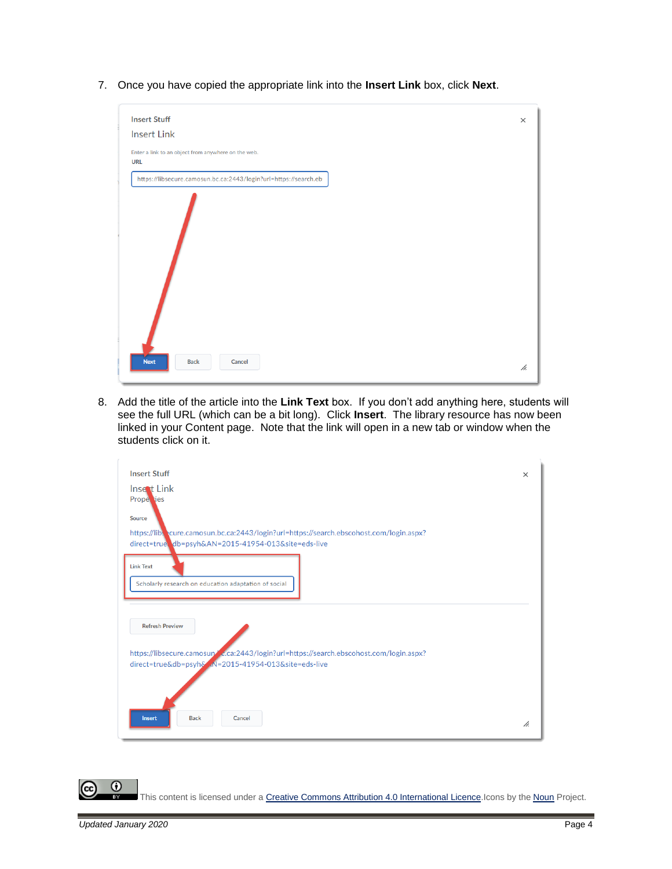7. Once you have copied the appropriate link into the **Insert Link** box, click **Next**.

| <b>Insert Stuff</b>                                               | $\times$ |
|-------------------------------------------------------------------|----------|
| <b>Insert Link</b>                                                |          |
| Enter a link to an object from anywhere on the web.<br><b>URL</b> |          |
| https://libsecure.camosun.bc.ca:2443/login?url=https://search.eb  |          |
|                                                                   |          |
| <b>Next</b><br><b>Back</b><br>Cancel                              | h.       |

8. Add the title of the article into the **Link Text** box. If you don't add anything here, students will see the full URL (which can be a bit long). Click **Insert**. The library resource has now been linked in your Content page. Note that the link will open in a new tab or window when the students click on it.

| <b>Insert Stuff</b>                                                                     | $\times$ |
|-----------------------------------------------------------------------------------------|----------|
| Insert Link<br>Prope jes                                                                |          |
| Source                                                                                  |          |
| https://lib. cure.camosun.bc.ca:2443/login?url=https://search.ebscohost.com/login.aspx? |          |
| direct=true db=psyh&AN=2015-41954-013&site=eds-live                                     |          |
| <b>Link Text</b>                                                                        |          |
| Scholarly research on education adaptation of social                                    |          |
|                                                                                         |          |
| <b>Refresh Preview</b>                                                                  |          |
|                                                                                         |          |
| https://libsecure.camosup/c.ca:2443/login?url=https://search.ebscohost.com/login.aspx?  |          |
| direct=true&db=psyh& N=2015-41954-013&site=eds-live                                     |          |
|                                                                                         |          |
|                                                                                         |          |
| <b>Back</b><br>Cancel<br><b>Insert</b>                                                  | h.       |
|                                                                                         |          |

This content is licensed under [a Creative Commons Attribution 4.0 International Licence.I](https://creativecommons.org/licenses/by/4.0/)cons by the [Noun](https://creativecommons.org/website-icons/) Project.

 $\odot$ 

(cc